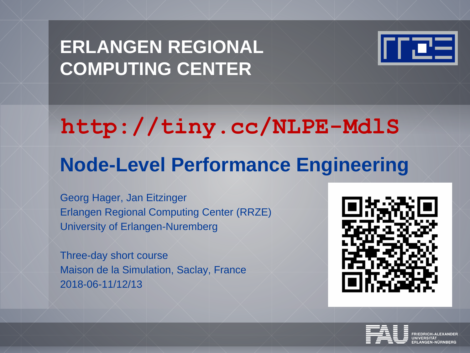# **ERLANGEN REGIONAL COMPUTING CENTER**



# **http://tiny.cc/NLPE-MdlS**

# **Node-Level Performance Engineering**

Georg Hager, Jan Eitzinger Erlangen Regional Computing Center (RRZE) University of Erlangen-Nuremberg

Three-day short course Maison de la Simulation, Saclay, France 2018-06-11/12/13



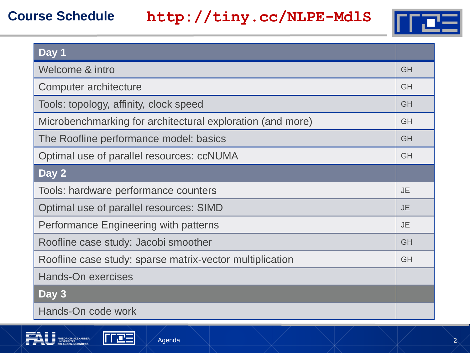### **Course Schedule**

## **http://tiny.cc/NLPE-MdlS**



| Day 1                                                      |           |
|------------------------------------------------------------|-----------|
| Welcome & intro                                            | <b>GH</b> |
| Computer architecture                                      | <b>GH</b> |
| Tools: topology, affinity, clock speed                     | <b>GH</b> |
| Microbenchmarking for architectural exploration (and more) | <b>GH</b> |
| The Roofline performance model: basics                     | <b>GH</b> |
| Optimal use of parallel resources: ccNUMA                  | <b>GH</b> |
| Day 2                                                      |           |
| Tools: hardware performance counters                       | <b>JE</b> |
| Optimal use of parallel resources: SIMD                    | <b>JE</b> |
| Performance Engineering with patterns                      | <b>JE</b> |
| Roofline case study: Jacobi smoother                       | <b>GH</b> |
| Roofline case study: sparse matrix-vector multiplication   | <b>GH</b> |
| <b>Hands-On exercises</b>                                  |           |
| Day 3                                                      |           |
| Hands-On code work                                         |           |



mæ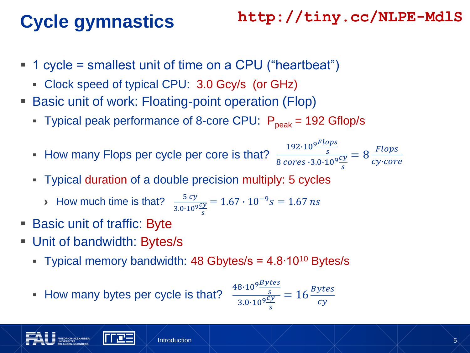# **Cycle gymnastics**

## **http://tiny.cc/NLPE-MdlS**

- 1 cycle = smallest unit of time on a CPU ("heartbeat")
	- Clock speed of typical CPU: 3.0 Gcy/s (or GHz)
- Basic unit of work: Floating-point operation (Flop)
	- Typical peak performance of 8-core CPU:  $P_{peak}$  = 192 Gflop/s
	- How many Flops per cycle per core is that?  $\frac{1}{8}$

$$
\frac{192 \cdot 10^9 \frac{Flops}{s}}{8 \text{ cores} \cdot 3.0 \cdot 10^9 \frac{cy}{s}} = 8 \frac{Flops}{cy \cdot core}
$$

- Typical duration of a double precision multiply: 5 cycles
	- › How much time is that? <sup>5</sup>  $3.0•10<sup>9</sup>$ S  $= 1.67 \cdot 10^{-9} s = 1.67$  ns
- Basic unit of traffic: Byte
- Unit of bandwidth: Bytes/s
	- Typical memory bandwidth: 48 Gbytes/s = 4.8∙10<sup>10</sup> Bytes/s
	- How many bytes per cycle is that?

$$
\frac{48 \cdot 10^9 \frac{Bytes}{s}}{3.0 \cdot 10^9 \frac{cy}{s}} = 16 \frac{Bytes}{cy}
$$

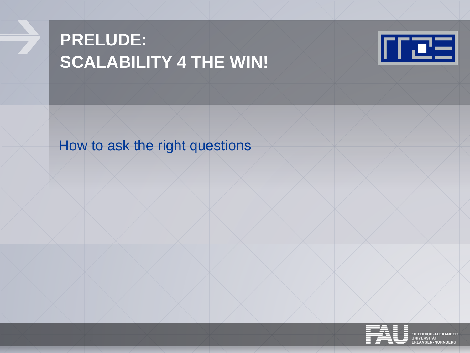# **PRELUDE: SCALABILITY 4 THE WIN!**



How to ask the right questions



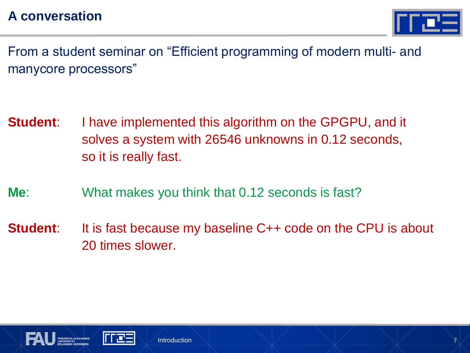

From a student seminar on "Efficient programming of modern multi- and manycore processors"

- **Student:** I have implemented this algorithm on the GPGPU, and it solves a system with 26546 unknowns in 0.12 seconds, so it is really fast.
- **Me**: What makes you think that 0.12 seconds is fast?
- **Student:** It is fast because my baseline C++ code on the CPU is about 20 times slower.

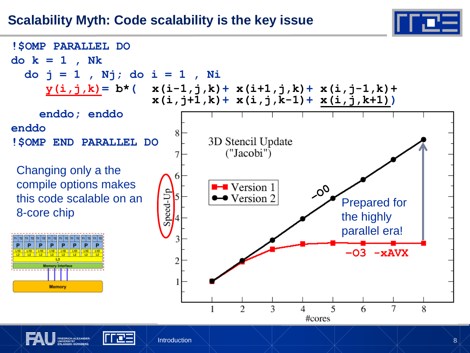

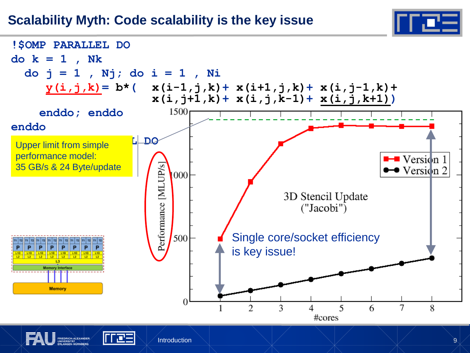### **Scalability Myth: Code scalability is the key issue**



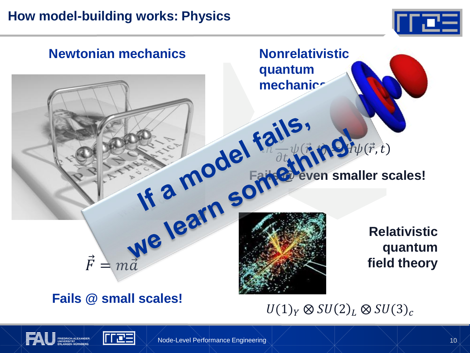## **How model-building works: Physics**

TTE



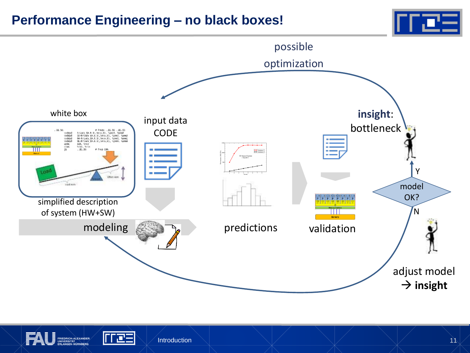#### **Performance Engineering – no black boxes!**